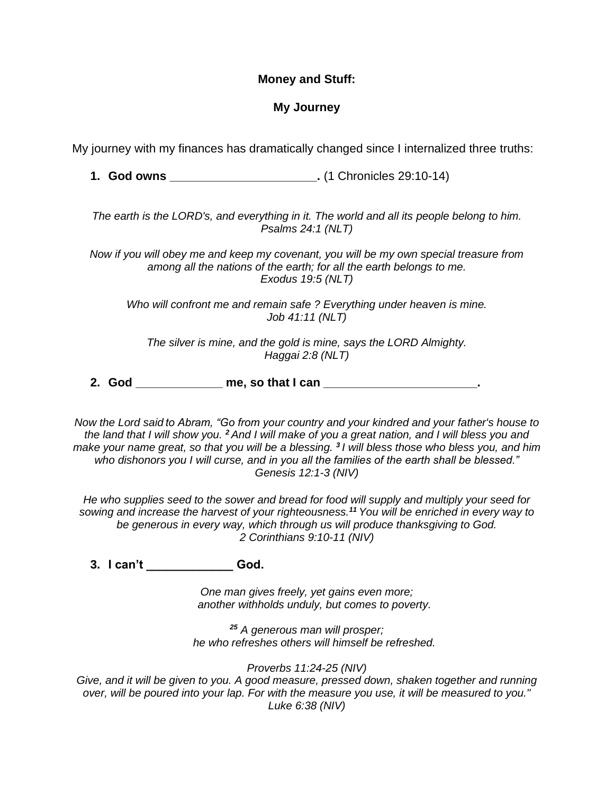## **Money and Stuff:**

## **My Journey**

My journey with my finances has dramatically changed since I internalized three truths:

**1. God owns \_\_\_\_\_\_\_\_\_\_\_\_\_\_\_\_\_\_\_\_\_\_.** (1 Chronicles 29:10-14)

*The earth is the LORD's, and everything in it. The world and all its people belong to him. Psalms 24:1 (NLT)*

*Now if you will obey me and keep my covenant, you will be my own special treasure from among all the nations of the earth; for all the earth belongs to me. Exodus 19:5 (NLT)*

*Who will confront me and remain safe ? Everything under heaven is mine. Job 41:11 (NLT)*

*The silver is mine, and the gold is mine, says the LORD Almighty. Haggai 2:8 (NLT)*

**2. God \_\_\_\_\_\_\_\_\_\_\_\_\_ me, so that I can \_\_\_\_\_\_\_\_\_\_\_\_\_\_\_\_\_\_\_\_\_\_\_.**

*Now the Lord said to Abram, "Go from your country and your kindred and your father's house to the land that I will show you. <sup>2</sup> And I will make of you a great nation, and I will bless you and make your name great, so that you will be a blessing. <sup>3</sup> I will bless those who bless you, and him who dishonors you I will curse, and in you all the families of the earth shall be blessed." Genesis 12:1-3 (NIV)*

*He who supplies seed to the sower and bread for food will supply and multiply your seed for sowing and increase the harvest of your righteousness.<sup>11</sup> You will be enriched in every way to be generous in every way, which through us will produce thanksgiving to God. 2 Corinthians 9:10-11 (NIV)*

**3. I can't \_\_\_\_\_\_\_\_\_\_\_\_\_ God.**

*One man gives freely, yet gains even more; another withholds unduly, but comes to poverty.* 

*<sup>25</sup> A generous man will prosper; he who refreshes others will himself be refreshed.* 

*Proverbs 11:24-25 (NIV)*

*Give, and it will be given to you. A good measure, pressed down, shaken together and running over, will be poured into your lap. For with the measure you use, it will be measured to you." Luke 6:38 (NIV)*